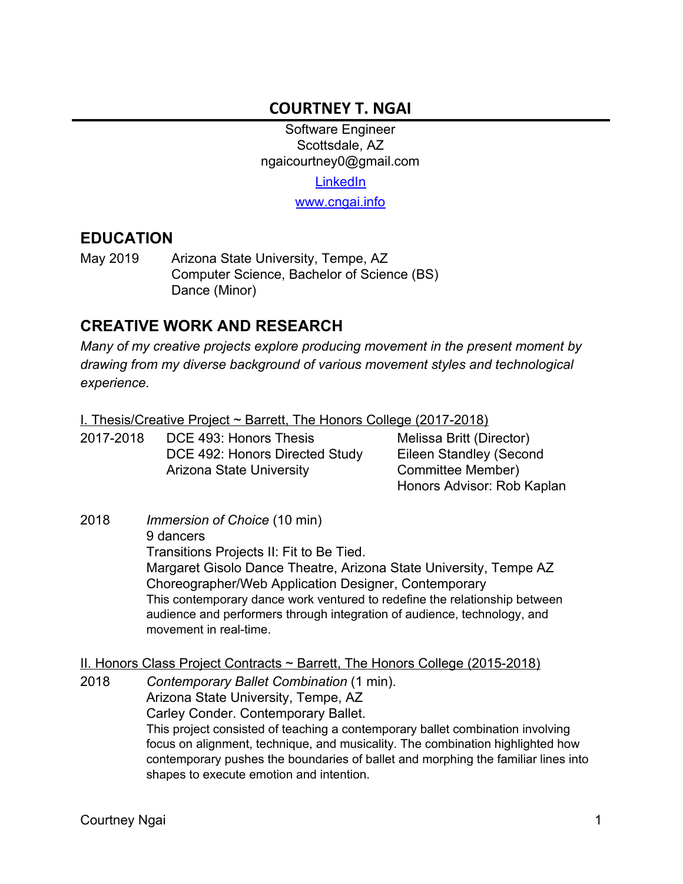## **COURTNEY T. NGAI**

Software Engineer Scottsdale, AZ ngaicourtney0@gmail.com

[LinkedIn](https://www.linkedin.com/in/courtneyngai1010/)

[www.cngai.info](https://www.cngai.info/)

#### **EDUCATION**

May 2019 Arizona State University, Tempe, AZ Computer Science, Bachelor of Science (BS) Dance (Minor)

## **CREATIVE WORK AND RESEARCH**

*Many of my creative projects explore producing movement in the present moment by drawing from my diverse background of various movement styles and technological experience.*

I. Thesis/Creative Project ~ Barrett, The Honors College (2017-2018)

| 2017-2018 | DCE 493: Honors Thesis          | Melissa Britt (Director)   |
|-----------|---------------------------------|----------------------------|
|           | DCE 492: Honors Directed Study  | Eileen Standley (Second    |
|           | <b>Arizona State University</b> | Committee Member)          |
|           |                                 | Honors Advisor: Rob Kaplan |

2018 *Immersion of Choice* (10 min) 9 dancers Transitions Projects II: Fit to Be Tied. Margaret Gisolo Dance Theatre, Arizona State University, Tempe AZ Choreographer/Web Application Designer, Contemporary This contemporary dance work ventured to redefine the relationship between audience and performers through integration of audience, technology, and movement in real-time.

II. Honors Class Project Contracts ~ Barrett, The Honors College (2015-2018)

2018 *Contemporary Ballet Combination* (1 min). Arizona State University, Tempe, AZ Carley Conder. Contemporary Ballet. This project consisted of teaching a contemporary ballet combination involving focus on alignment, technique, and musicality. The combination highlighted how contemporary pushes the boundaries of ballet and morphing the familiar lines into shapes to execute emotion and intention.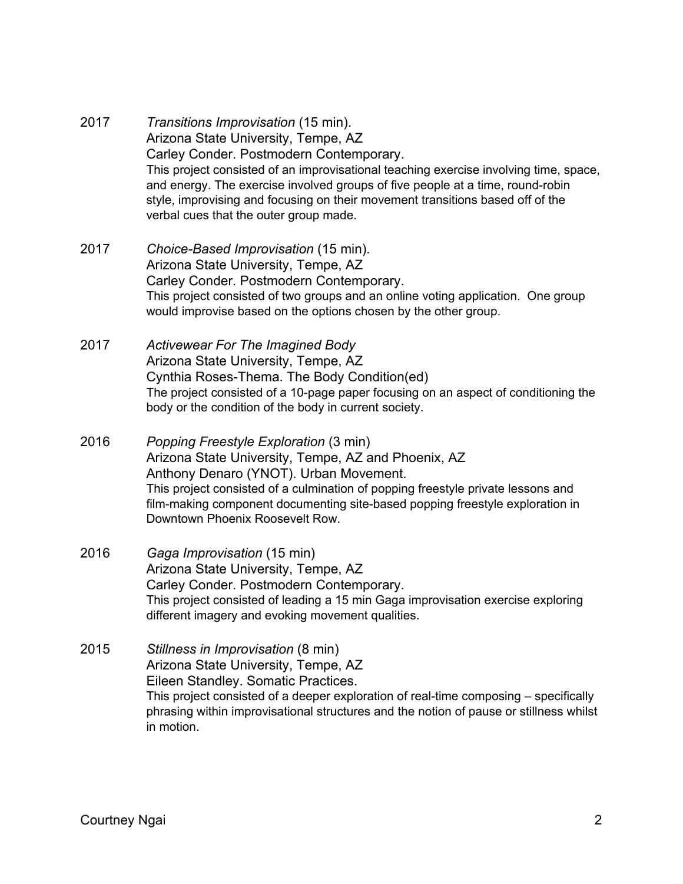- 2017 *Transitions Improvisation* (15 min). Arizona State University, Tempe, AZ Carley Conder. Postmodern Contemporary. This project consisted of an improvisational teaching exercise involving time, space, and energy. The exercise involved groups of five people at a time, round-robin style, improvising and focusing on their movement transitions based off of the verbal cues that the outer group made.
- 2017 *Choice-Based Improvisation* (15 min). Arizona State University, Tempe, AZ Carley Conder. Postmodern Contemporary. This project consisted of two groups and an online voting application. One group would improvise based on the options chosen by the other group.
- 2017 *Activewear For The Imagined Body* Arizona State University, Tempe, AZ Cynthia Roses-Thema. The Body Condition(ed) The project consisted of a 10-page paper focusing on an aspect of conditioning the body or the condition of the body in current society.
- 2016 *Popping Freestyle Exploration* (3 min) Arizona State University, Tempe, AZ and Phoenix, AZ Anthony Denaro (YNOT). Urban Movement. This project consisted of a culmination of popping freestyle private lessons and film-making component documenting site-based popping freestyle exploration in Downtown Phoenix Roosevelt Row.
- 2016 *Gaga Improvisation* (15 min) Arizona State University, Tempe, AZ Carley Conder. Postmodern Contemporary. This project consisted of leading a 15 min Gaga improvisation exercise exploring different imagery and evoking movement qualities.
- 2015 *Stillness in Improvisation* (8 min) Arizona State University, Tempe, AZ Eileen Standley. Somatic Practices. This project consisted of a deeper exploration of real-time composing – specifically phrasing within improvisational structures and the notion of pause or stillness whilst in motion.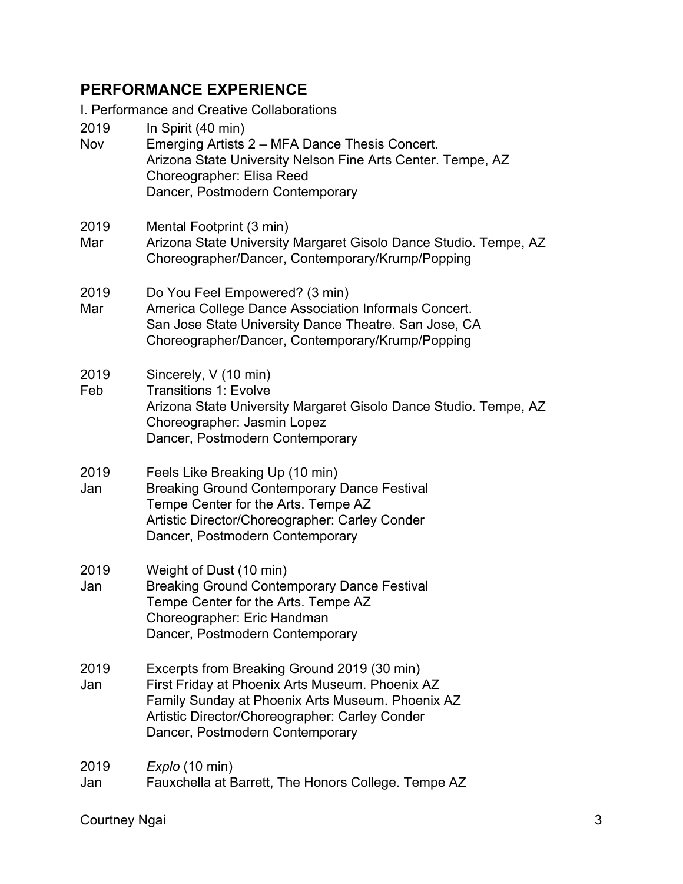# **PERFORMANCE EXPERIENCE**

I. Performance and Creative Collaborations

| 2019<br><b>Nov</b> | In Spirit (40 min)<br>Emerging Artists 2 – MFA Dance Thesis Concert.<br>Arizona State University Nelson Fine Arts Center. Tempe, AZ<br>Choreographer: Elisa Reed<br>Dancer, Postmodern Contemporary                                     |
|--------------------|-----------------------------------------------------------------------------------------------------------------------------------------------------------------------------------------------------------------------------------------|
| 2019<br>Mar        | Mental Footprint (3 min)<br>Arizona State University Margaret Gisolo Dance Studio. Tempe, AZ<br>Choreographer/Dancer, Contemporary/Krump/Popping                                                                                        |
| 2019<br>Mar        | Do You Feel Empowered? (3 min)<br>America College Dance Association Informals Concert.<br>San Jose State University Dance Theatre. San Jose, CA<br>Choreographer/Dancer, Contemporary/Krump/Popping                                     |
| 2019<br>Feb        | Sincerely, V (10 min)<br><b>Transitions 1: Evolve</b><br>Arizona State University Margaret Gisolo Dance Studio. Tempe, AZ<br>Choreographer: Jasmin Lopez<br>Dancer, Postmodern Contemporary                                             |
| 2019<br>Jan        | Feels Like Breaking Up (10 min)<br><b>Breaking Ground Contemporary Dance Festival</b><br>Tempe Center for the Arts. Tempe AZ<br>Artistic Director/Choreographer: Carley Conder<br>Dancer, Postmodern Contemporary                       |
| 2019<br>Jan        | Weight of Dust (10 min)<br><b>Breaking Ground Contemporary Dance Festival</b><br>Tempe Center for the Arts. Tempe AZ<br>Choreographer: Eric Handman<br>Dancer, Postmodern Contemporary                                                  |
| 2019<br>Jan        | Excerpts from Breaking Ground 2019 (30 min)<br>First Friday at Phoenix Arts Museum. Phoenix AZ<br>Family Sunday at Phoenix Arts Museum. Phoenix AZ<br>Artistic Director/Choreographer: Carley Conder<br>Dancer, Postmodern Contemporary |
| 2019<br>Jan        | Explo (10 min)<br>Fauxchella at Barrett, The Honors College. Tempe AZ                                                                                                                                                                   |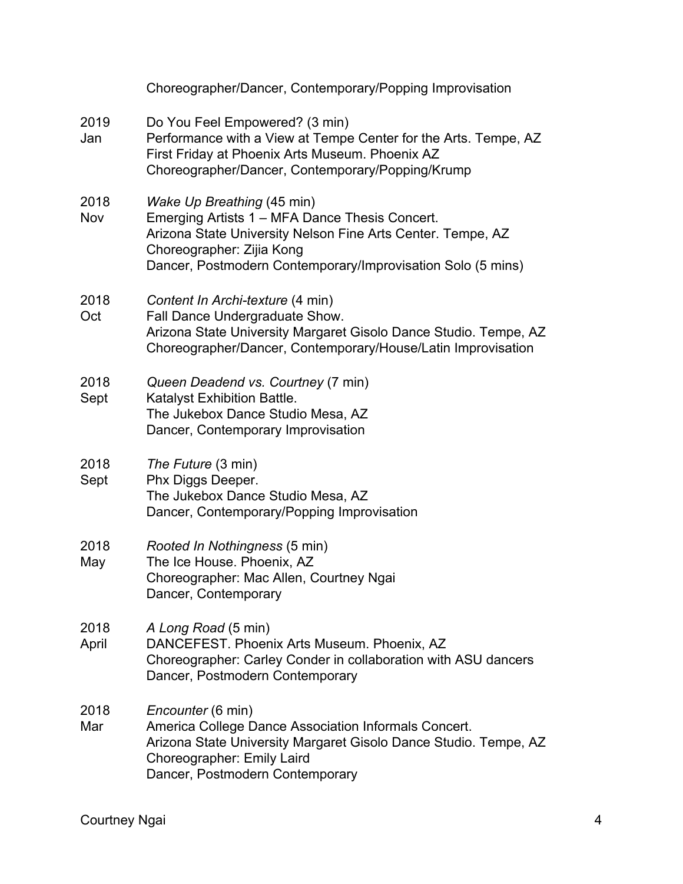|               | Choreographer/Dancer, Contemporary/Popping Improvisation                                                                                                                                                                                |
|---------------|-----------------------------------------------------------------------------------------------------------------------------------------------------------------------------------------------------------------------------------------|
| 2019<br>Jan   | Do You Feel Empowered? (3 min)<br>Performance with a View at Tempe Center for the Arts. Tempe, AZ<br>First Friday at Phoenix Arts Museum. Phoenix AZ<br>Choreographer/Dancer, Contemporary/Popping/Krump                                |
| 2018<br>Nov   | Wake Up Breathing (45 min)<br>Emerging Artists 1 – MFA Dance Thesis Concert.<br>Arizona State University Nelson Fine Arts Center. Tempe, AZ<br>Choreographer: Zijia Kong<br>Dancer, Postmodern Contemporary/Improvisation Solo (5 mins) |
| 2018<br>Oct   | Content In Archi-texture (4 min)<br>Fall Dance Undergraduate Show.<br>Arizona State University Margaret Gisolo Dance Studio. Tempe, AZ<br>Choreographer/Dancer, Contemporary/House/Latin Improvisation                                  |
| 2018<br>Sept  | Queen Deadend vs. Courtney (7 min)<br>Katalyst Exhibition Battle.<br>The Jukebox Dance Studio Mesa, AZ<br>Dancer, Contemporary Improvisation                                                                                            |
| 2018<br>Sept  | The Future (3 min)<br>Phx Diggs Deeper.<br>The Jukebox Dance Studio Mesa, AZ<br>Dancer, Contemporary/Popping Improvisation                                                                                                              |
| 2018<br>May   | Rooted In Nothingness (5 min)<br>The Ice House. Phoenix, AZ<br>Choreographer: Mac Allen, Courtney Ngai<br>Dancer, Contemporary                                                                                                          |
| 2018<br>April | A Long Road (5 min)<br>DANCEFEST. Phoenix Arts Museum. Phoenix, AZ<br>Choreographer: Carley Conder in collaboration with ASU dancers<br>Dancer, Postmodern Contemporary                                                                 |
| 2018<br>Mar   | <i>Encounter</i> (6 min)<br>America College Dance Association Informals Concert.<br>Arizona State University Margaret Gisolo Dance Studio. Tempe, AZ<br>Choreographer: Emily Laird<br>Dancer, Postmodern Contemporary                   |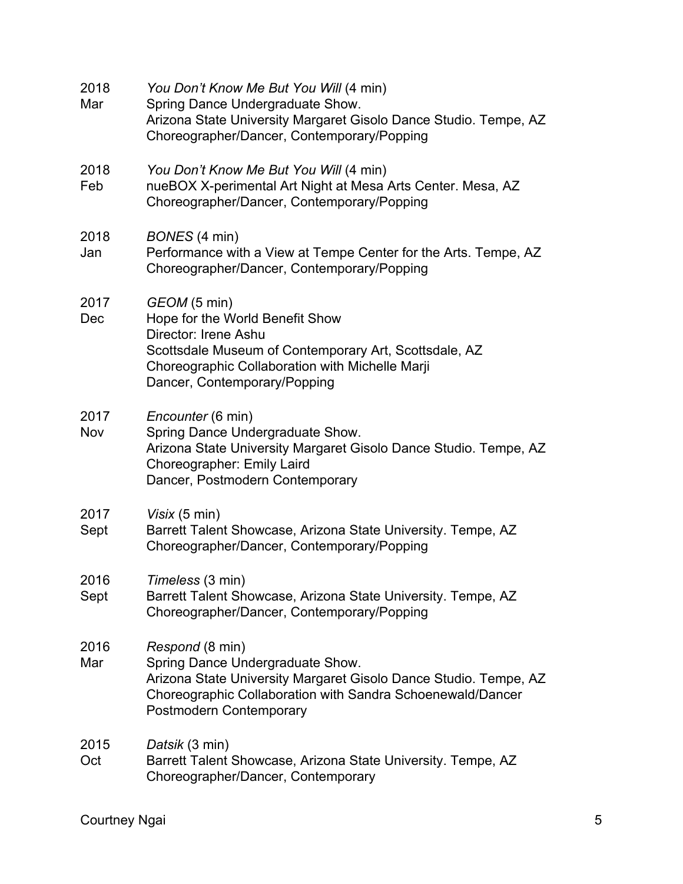| 2018<br>Mar  | You Don't Know Me But You Will (4 min)<br>Spring Dance Undergraduate Show.<br>Arizona State University Margaret Gisolo Dance Studio. Tempe, AZ<br>Choreographer/Dancer, Contemporary/Popping                        |
|--------------|---------------------------------------------------------------------------------------------------------------------------------------------------------------------------------------------------------------------|
| 2018<br>Feb  | You Don't Know Me But You Will (4 min)<br>nueBOX X-perimental Art Night at Mesa Arts Center. Mesa, AZ<br>Choreographer/Dancer, Contemporary/Popping                                                                 |
| 2018<br>Jan  | BONES (4 min)<br>Performance with a View at Tempe Center for the Arts. Tempe, AZ<br>Choreographer/Dancer, Contemporary/Popping                                                                                      |
| 2017<br>Dec  | GEOM (5 min)<br>Hope for the World Benefit Show<br>Director: Irene Ashu<br>Scottsdale Museum of Contemporary Art, Scottsdale, AZ<br>Choreographic Collaboration with Michelle Marji<br>Dancer, Contemporary/Popping |
| 2017<br>Nov  | Encounter (6 min)<br>Spring Dance Undergraduate Show.<br>Arizona State University Margaret Gisolo Dance Studio. Tempe, AZ<br>Choreographer: Emily Laird<br>Dancer, Postmodern Contemporary                          |
| 2017<br>Sept | Visix (5 min)<br>Barrett Talent Showcase, Arizona State University. Tempe, AZ<br>Choreographer/Dancer, Contemporary/Popping                                                                                         |
| 2016<br>Sept | Timeless (3 min)<br>Barrett Talent Showcase, Arizona State University. Tempe, AZ<br>Choreographer/Dancer, Contemporary/Popping                                                                                      |
| 2016<br>Mar  | Respond (8 min)<br>Spring Dance Undergraduate Show.<br>Arizona State University Margaret Gisolo Dance Studio. Tempe, AZ<br>Choreographic Collaboration with Sandra Schoenewald/Dancer<br>Postmodern Contemporary    |
| 2015<br>Oct  | Datsik (3 min)<br>Barrett Talent Showcase, Arizona State University. Tempe, AZ<br>Choreographer/Dancer, Contemporary                                                                                                |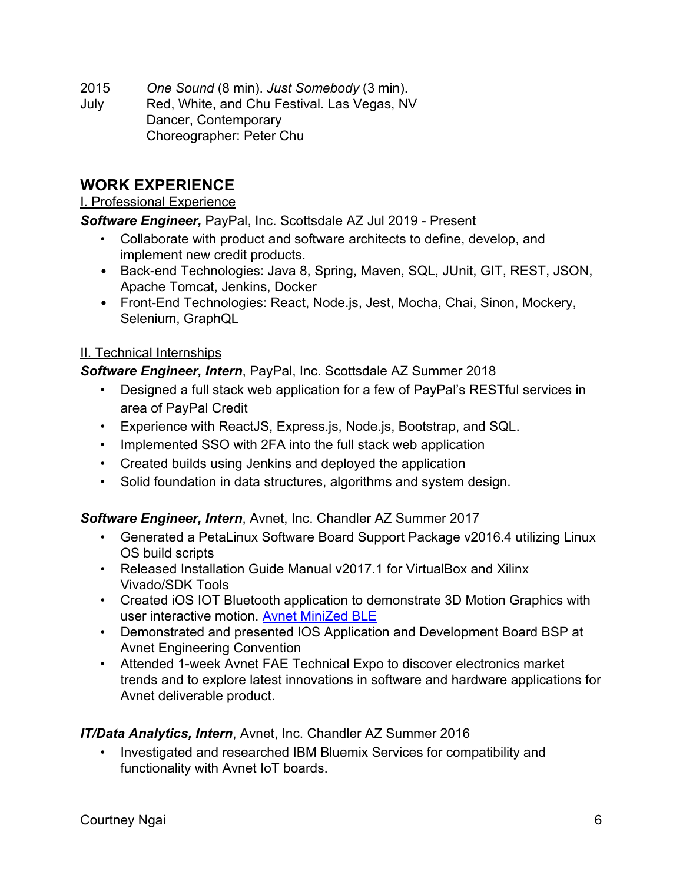2015 *One Sound* (8 min). *Just Somebody* (3 min).

July Red, White, and Chu Festival. Las Vegas, NV Dancer, Contemporary Choreographer: Peter Chu

## **WORK EXPERIENCE**

#### I. Professional Experience

*Software Engineer,* PayPal, Inc. Scottsdale AZ Jul 2019 - Present

- Collaborate with product and software architects to define, develop, and implement new credit products.
- Back-end Technologies: Java 8, Spring, Maven, SQL, JUnit, GIT, REST, JSON, Apache Tomcat, Jenkins, Docker
- Front-End Technologies: React, Node.js, Jest, Mocha, Chai, Sinon, Mockery, Selenium, GraphQL

#### II. Technical Internships

*Software Engineer, Intern*, PayPal, Inc. Scottsdale AZ Summer 2018

- Designed a full stack web application for a few of PayPal's RESTful services in area of PayPal Credit
- Experience with ReactJS, Express.js, Node.js, Bootstrap, and SQL.
- Implemented SSO with 2FA into the full stack web application
- Created builds using Jenkins and deployed the application
- Solid foundation in data structures, algorithms and system design.

#### *Software Engineer, Intern*, Avnet, Inc. Chandler AZ Summer 2017

- Generated a PetaLinux Software Board Support Package v2016.4 utilizing Linux OS build scripts
- Released Installation Guide Manual v2017.1 for VirtualBox and Xilinx Vivado/SDK Tools
- Created iOS IOT Bluetooth application to demonstrate 3D Motion Graphics with user interactive motion. [Avnet MiniZed BLE](https://itunes.apple.com/us/app/avnet-minized-ble/id1323950660?mt=8)
- Demonstrated and presented IOS Applicati[on](https://itunes.apple.com/us/app/avnet-minized-ble/id1323950660?mt=8) and Development Board BSP at Avnet Engineering Convention
- Attended 1-week Avnet FAE Technical Expo to discover electronics market trends and to explore latest innovations in software and hardware applications for Avnet deliverable product.

#### *IT/Data Analytics, Intern*, Avnet, Inc. Chandler AZ Summer 2016

• Investigated and researched IBM Bluemix Services for compatibility and functionality with Avnet IoT boards.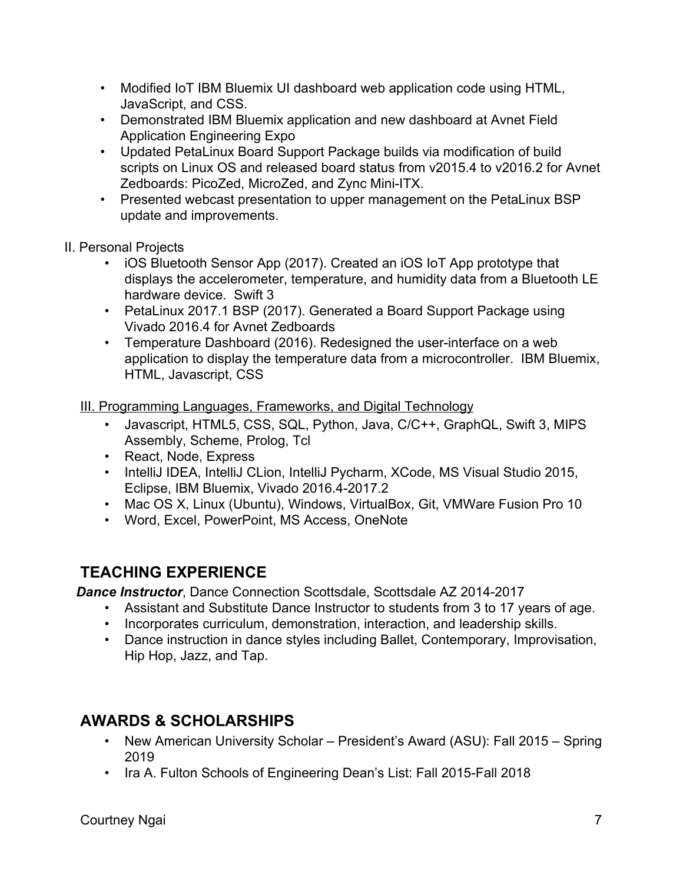- Modified IoT IBM Bluemix UI dashboard web application code using HTML, JavaScript, and CSS.
- Demonstrated IBM Bluemix application and new dashboard at Avnet Field Application Engineering Expo
- Updated PetaLinux Board Support Package builds via modification of build scripts on Linux OS and released board status from v2015.4 to v2016.2 for Avnet Zedboards: PicoZed, MicroZed, and Zync Mini-ITX.
- Presented webcast presentation to upper management on the PetaLinux BSP update and improvements.
- II. Personal Projects
	- iOS Bluetooth Sensor App (2017). Created an iOS IoT App prototype that displays the accelerometer, temperature, and humidity data from a Bluetooth LE hardware device. Swift 3
	- PetaLinux 2017.1 BSP (2017). Generated a Board Support Package using Vivado 2016.4 for Avnet Zedboards
	- Temperature Dashboard (2016). Redesigned the user-interface on a web application to display the temperature data from a microcontroller. IBM Bluemix, HTML, Javascript, CSS

III. Programming Languages, Frameworks, and Digital Technology

- Javascript, HTML5, CSS, SQL, Python, Java, C/C++, GraphQL, Swift 3, MIPS Assembly, Scheme, Prolog, Tcl
- React, Node, Express
- IntelliJ IDEA, IntelliJ CLion, IntelliJ Pycharm, XCode, MS Visual Studio 2015, Eclipse, IBM Bluemix, Vivado 2016.4-2017.2
- Mac OS X, Linux (Ubuntu), Windows, VirtualBox, Git, VMWare Fusion Pro 10
- Word, Excel, PowerPoint, MS Access, OneNote

## **TEACHING EXPERIENCE**

*Dance Instructor*, Dance Connection Scottsdale, Scottsdale AZ 2014-2017

- Assistant and Substitute Dance Instructor to students from 3 to 17 years of age.
- Incorporates curriculum, demonstration, interaction, and leadership skills.
- Dance instruction in dance styles including Ballet, Contemporary, Improvisation, Hip Hop, Jazz, and Tap.

## **AWARDS & SCHOLARSHIPS**

- New American University Scholar President's Award (ASU): Fall 2015 Spring 2019
- Ira A. Fulton Schools of Engineering Dean's List: Fall 2015-Fall 2018